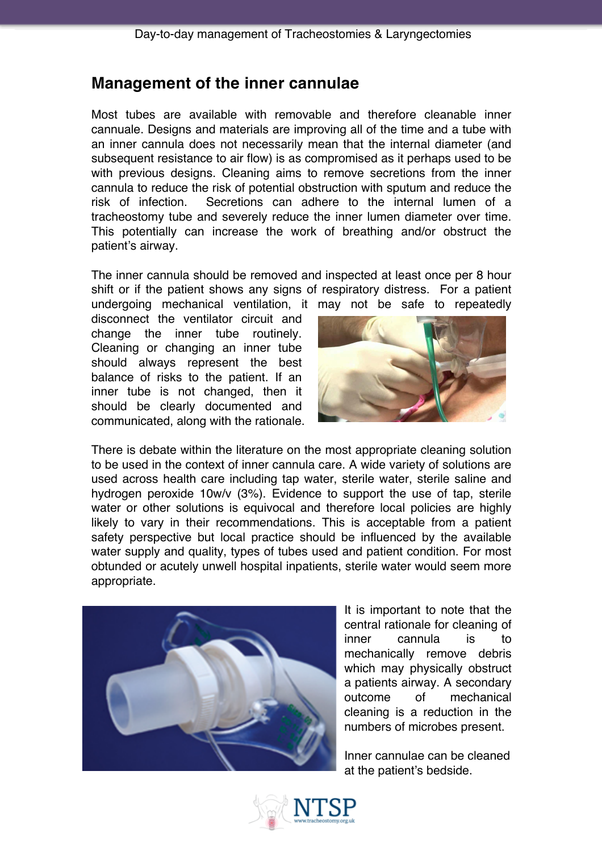# **Management of the inner cannulae**

Most tubes are available with removable and therefore cleanable inner cannuale. Designs and materials are improving all of the time and a tube with an inner cannula does not necessarily mean that the internal diameter (and subsequent resistance to air flow) is as compromised as it perhaps used to be with previous designs. Cleaning aims to remove secretions from the inner cannula to reduce the risk of potential obstruction with sputum and reduce the risk of infection. Secretions can adhere to the internal lumen of a tracheostomy tube and severely reduce the inner lumen diameter over time. This potentially can increase the work of breathing and/or obstruct the patient's airway.

The inner cannula should be removed and inspected at least once per 8 hour shift or if the patient shows any signs of respiratory distress. For a patient undergoing mechanical ventilation, it may not be safe to repeatedly

disconnect the ventilator circuit and change the inner tube routinely. Cleaning or changing an inner tube should always represent the best balance of risks to the patient. If an inner tube is not changed, then it should be clearly documented and communicated, along with the rationale.



There is debate within the literature on the most appropriate cleaning solution to be used in the context of inner cannula care. A wide variety of solutions are used across health care including tap water, sterile water, sterile saline and hydrogen peroxide 10w/v (3%). Evidence to support the use of tap, sterile water or other solutions is equivocal and therefore local policies are highly likely to vary in their recommendations. This is acceptable from a patient safety perspective but local practice should be influenced by the available water supply and quality, types of tubes used and patient condition. For most obtunded or acutely unwell hospital inpatients, sterile water would seem more appropriate.



It is important to note that the central rationale for cleaning of inner cannula is to mechanically remove debris which may physically obstruct a patients airway. A secondary outcome of mechanical cleaning is a reduction in the numbers of microbes present.

Inner cannulae can be cleaned at the patient's bedside.

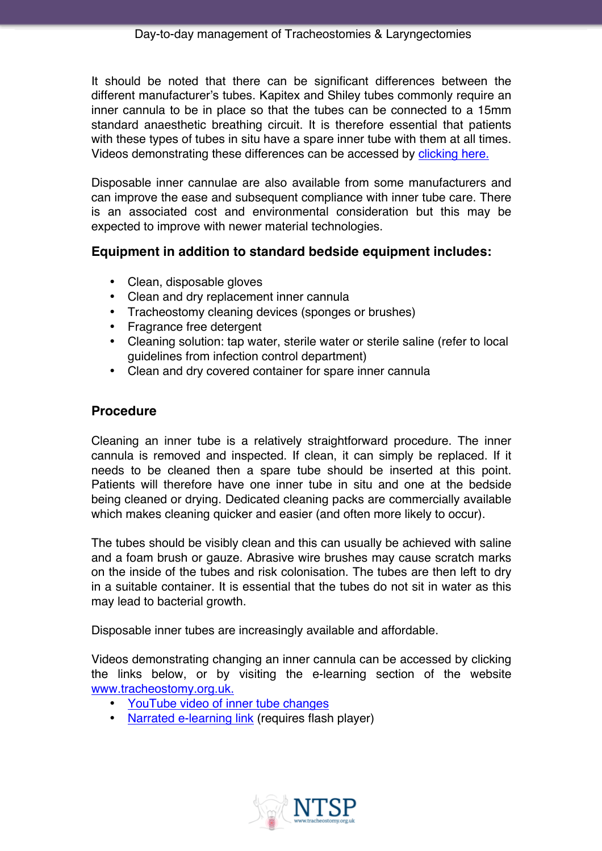It should be noted that there can be significant differences between the different manufacturer's tubes. Kapitex and Shiley tubes commonly require an inner cannula to be in place so that the tubes can be connected to a 15mm standard anaesthetic breathing circuit. It is therefore essential that patients with these types of tubes in situ have a spare inner tube with them at all times. Videos demonstrating these differences can be accessed by clicking here.

Disposable inner cannulae are also available from some manufacturers and can improve the ease and subsequent compliance with inner tube care. There is an associated cost and environmental consideration but this may be expected to improve with newer material technologies.

### **Equipment in addition to standard bedside equipment includes:**

- Clean, disposable gloves
- Clean and dry replacement inner cannula
- Tracheostomy cleaning devices (sponges or brushes)
- Fragrance free detergent
- Cleaning solution: tap water, sterile water or sterile saline (refer to local guidelines from infection control department)
- Clean and dry covered container for spare inner cannula

### **Procedure**

Cleaning an inner tube is a relatively straightforward procedure. The inner cannula is removed and inspected. If clean, it can simply be replaced. If it needs to be cleaned then a spare tube should be inserted at this point. Patients will therefore have one inner tube in situ and one at the bedside being cleaned or drying. Dedicated cleaning packs are commercially available which makes cleaning quicker and easier (and often more likely to occur).

The tubes should be visibly clean and this can usually be achieved with saline and a foam brush or gauze. Abrasive wire brushes may cause scratch marks on the inside of the tubes and risk colonisation. The tubes are then left to dry in a suitable container. It is essential that the tubes do not sit in water as this may lead to bacterial growth.

Disposable inner tubes are increasingly available and affordable.

Videos demonstrating changing an inner cannula can be accessed by clicking the links below, or by visiting the e-learning section of the website www.tracheostomy.org.uk.

- YouTube video of inner tube changes
- Narrated e-learning link (requires flash player)

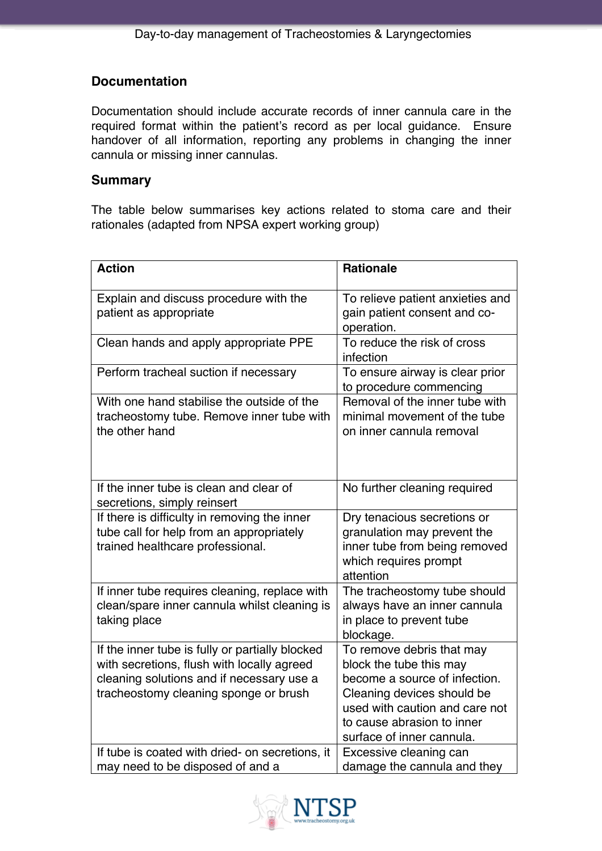## **Documentation**

Documentation should include accurate records of inner cannula care in the required format within the patient's record as per local guidance. Ensure handover of all information, reporting any problems in changing the inner cannula or missing inner cannulas.

#### **Summary**

The table below summarises key actions related to stoma care and their rationales (adapted from NPSA expert working group)

| <b>Action</b>                                                                                                                                                                       | <b>Rationale</b>                                                                                                                                                                                                 |
|-------------------------------------------------------------------------------------------------------------------------------------------------------------------------------------|------------------------------------------------------------------------------------------------------------------------------------------------------------------------------------------------------------------|
| Explain and discuss procedure with the<br>patient as appropriate                                                                                                                    | To relieve patient anxieties and<br>gain patient consent and co-<br>operation.                                                                                                                                   |
| Clean hands and apply appropriate PPE                                                                                                                                               | To reduce the risk of cross<br>infection                                                                                                                                                                         |
| Perform tracheal suction if necessary                                                                                                                                               | To ensure airway is clear prior<br>to procedure commencing                                                                                                                                                       |
| With one hand stabilise the outside of the<br>tracheostomy tube. Remove inner tube with<br>the other hand                                                                           | Removal of the inner tube with<br>minimal movement of the tube<br>on inner cannula removal                                                                                                                       |
| If the inner tube is clean and clear of<br>secretions, simply reinsert                                                                                                              | No further cleaning required                                                                                                                                                                                     |
| If there is difficulty in removing the inner<br>tube call for help from an appropriately<br>trained healthcare professional.                                                        | Dry tenacious secretions or<br>granulation may prevent the<br>inner tube from being removed<br>which requires prompt<br>attention                                                                                |
| If inner tube requires cleaning, replace with<br>clean/spare inner cannula whilst cleaning is<br>taking place                                                                       | The tracheostomy tube should<br>always have an inner cannula<br>in place to prevent tube<br>blockage.                                                                                                            |
| If the inner tube is fully or partially blocked<br>with secretions, flush with locally agreed<br>cleaning solutions and if necessary use a<br>tracheostomy cleaning sponge or brush | To remove debris that may<br>block the tube this may<br>become a source of infection.<br>Cleaning devices should be<br>used with caution and care not<br>to cause abrasion to inner<br>surface of inner cannula. |
| If tube is coated with dried- on secretions, it<br>may need to be disposed of and a                                                                                                 | Excessive cleaning can<br>damage the cannula and they                                                                                                                                                            |